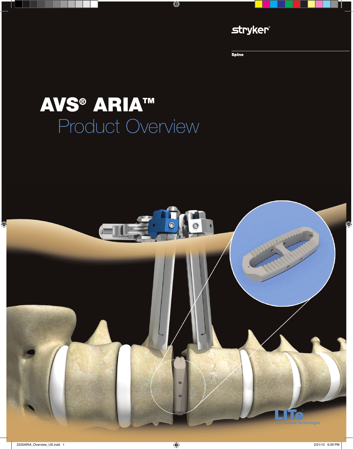

**Spine** 

# **AVS® ARIA™** Product Overview

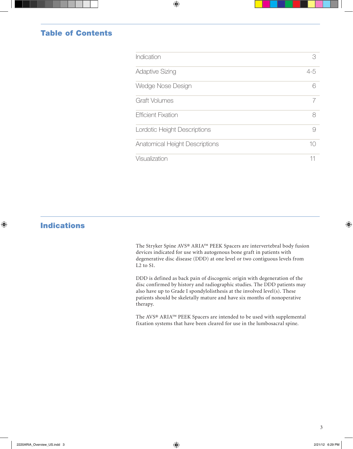#### Table of Contents

| Indication                     | 3     |
|--------------------------------|-------|
| <b>Adaptive Sizing</b>         | $4-5$ |
| Wedge Nose Design              | 6     |
| <b>Graft Volumes</b>           |       |
| <b>Efficient Fixation</b>      | 8     |
| Lordotic Height Descriptions   | 9     |
| Anatomical Height Descriptions | 10    |
| Visualization                  | 11    |

### Indications

The Stryker Spine AVS® ARIA™ PEEK Spacers are intervertebral body fusion devices indicated for use with autogenous bone graft in patients with degenerative disc disease (DDD) at one level or two contiguous levels from L<sub>2</sub> to S<sub>1</sub>.

DDD is defined as back pain of discogenic origin with degeneration of the disc confirmed by history and radiographic studies. The DDD patients may also have up to Grade I spondylolisthesis at the involved level(s). These patients should be skeletally mature and have six months of nonoperative therapy.

The AVS® ARIA™ PEEK Spacers are intended to be used with supplemental fixation systems that have been cleared for use in the lumbosacral spine.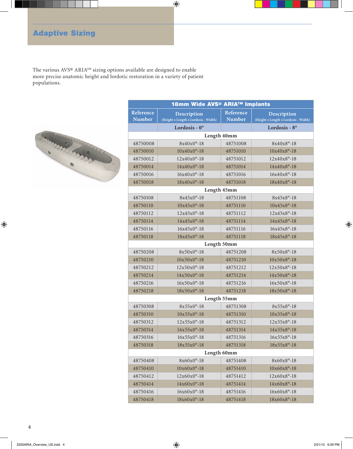# Adaptive Sizing

The various AVS® ARIA™ sizing options available are designed to enable more precise anatomic height and lordotic restoration in a variety of patient populations.



| 18mm Wide AVS® ARIA™ Implants |                                                     |                            |                                                     |  |  |
|-------------------------------|-----------------------------------------------------|----------------------------|-----------------------------------------------------|--|--|
| Reference<br><b>Number</b>    | Description<br>(Height x Length x Lordosis - Width) | Reference<br><b>Number</b> | Description<br>(Height x Length x Lordosis - Width) |  |  |
|                               | Lordosis - 0°                                       |                            | Lordosis - 8°                                       |  |  |
|                               | Length 40mm                                         |                            |                                                     |  |  |
| 48750008                      | $8x40x0°-18$                                        | 48751008                   | 8x40x8°-18                                          |  |  |
| 48750010                      | $10x40x0°-18$                                       | 48751010                   | $10x40x8°-18$                                       |  |  |
| 48750012                      | $12x40x0°-18$                                       | 48751012                   | $12x40x8°-18$                                       |  |  |
| 48750014                      | $14x40x0°-18$                                       | 48751014                   | $14x40x8°-18$                                       |  |  |
| 48750016                      | $16x40x0°-18$                                       | 48751016                   | $16x40x8°-18$                                       |  |  |
| 48750018                      | $18x40x0°-18$                                       | 48751018                   | $18x40x8°-18$                                       |  |  |
|                               | Length 45mm                                         |                            |                                                     |  |  |
| 48750108                      | $8x45x0°-18$                                        | 48751108                   | 8x45x8°-18                                          |  |  |
| 48750110                      | $10x45x0°-18$                                       | 48751110                   | $10x45x8° - 18$                                     |  |  |
| 48750112                      | $12x45x0°-18$                                       | 48751112                   | $12x45x8^{\circ} - 18$                              |  |  |
| 48750114                      | $14x45x0°-18$                                       | 48751114                   | $14x45x8°-18$                                       |  |  |
| 48750116                      | $16x45x0°-18$                                       | 48751116                   | $16x45x8°-18$                                       |  |  |
| 48750118                      | $18x45x0°-18$                                       | 48751118                   | 18x45x8°-18                                         |  |  |
|                               | Length 50mm                                         |                            |                                                     |  |  |
| 48750208                      | $8x50x0°-18$                                        | 48751208                   | $8x50x8^{\circ}-18$                                 |  |  |
| 48750210                      | $10x50x0°-18$                                       | 48751210                   | $10x50x8°-18$                                       |  |  |
| 48750212                      | $12x50x0°-18$                                       | 48751212                   | $12x50x8^{\circ}-18$                                |  |  |
| 48750214                      | $14x50x0°-18$                                       | 48751214                   | $14x50x8°-18$                                       |  |  |
| 48750216                      | $16x50x0°-18$                                       | 48751216                   | $16x50x8^{\circ}-18$                                |  |  |
| 48750218                      | $18x50x0°-18$                                       | 48751218                   | $18x50x8°-18$                                       |  |  |
|                               | Length 55mm                                         |                            |                                                     |  |  |
| 48750308                      | $8x55x0°-18$                                        | 48751308                   | $8x55x8^{\circ} - 18$                               |  |  |
| 48750310                      | $10x55x0°-18$                                       | 48751310                   | $10x55x8°-18$                                       |  |  |
| 48750312                      | $12x55x0°-18$                                       | 48751312                   | $12x55x8°-18$                                       |  |  |
| 48750314                      | $14x55x0°-18$                                       | 48751314                   | $14x55x8°-18$                                       |  |  |
| 48750316                      | $16x55x0^{\circ} - 18$                              | 48751316                   | $16x55x8^{\circ} - 18$                              |  |  |
| 48750318                      | $18x55x0°-18$                                       | 48751318                   | $18x55x8^{\circ} - 18$                              |  |  |
|                               | Length 60mm                                         |                            |                                                     |  |  |
| 48750408                      | $8x60x0°-18$                                        | 48751408                   | 8x60x8°-18                                          |  |  |
| 48750410                      | $10x60x0°-18$                                       | 48751410                   | $10x60x8°-18$                                       |  |  |
| 48750412                      | $12x60x0°-18$                                       | 48751412                   | $12x60x8°-18$                                       |  |  |
| 48750414                      | $14x60x0°-18$                                       | 48751414                   | $14x60x8° - 18$                                     |  |  |
| 48750416                      | $16x60x0°-18$                                       | 48751416                   | $16x60x8°-18$                                       |  |  |
| 48750418                      | $18x60x0°-18$                                       | 48751418                   | $18x60x8°-18$                                       |  |  |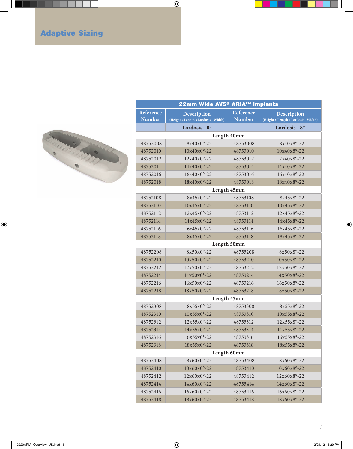# Adaptive Sizing



| 22mm Wide AVS® ARIA™ Implants |                                                     |                            |                                                     |  |  |
|-------------------------------|-----------------------------------------------------|----------------------------|-----------------------------------------------------|--|--|
| Reference<br><b>Number</b>    | Description<br>(Height x Length x Lordosis - Width) | Reference<br><b>Number</b> | Description<br>(Height x Length x Lordosis - Width) |  |  |
|                               | Lordosis - 0°                                       |                            | Lordosis - 8°                                       |  |  |
|                               | Length 40mm                                         |                            |                                                     |  |  |
| 48752008                      | 8x40x0°-22                                          | 48753008                   | 8x40x8°-22                                          |  |  |
| 48752010                      | $10x40x0^{\circ} - 22$                              | 48753010                   | $10x40x8°-22$                                       |  |  |
| 48752012                      | $12x40x0°-22$                                       | 48753012                   | $12x40x8^{\circ} - 22$                              |  |  |
| 48752014                      | $14x40x0°-22$                                       | 48753014                   | $14x40x8°-22$                                       |  |  |
| 48752016                      | $16x40x0°-22$                                       | 48753016                   | $16x40x8^{\circ} - 22$                              |  |  |
| 48752018                      | $18x40x0^{\circ} - 22$                              | 48753018                   | $18x40x8°-22$                                       |  |  |
|                               | Length 45mm                                         |                            |                                                     |  |  |
| 48752108                      | $8x45x0^{\circ} - 22$                               | 48753108                   | 8x45x8°-22                                          |  |  |
| 48752110                      | $10x45x0^{\circ} - 22$                              | 48753110                   | $10x45x8^{\circ}-22$                                |  |  |
| 48752112                      | $12x45x0^{\circ} - 22$                              | 48753112                   | 12x45x8°-22                                         |  |  |
| 48752114                      | $14x45x0°-22$                                       | 48753114                   | 14x45x8°-22                                         |  |  |
| 48752116                      | $16x45x0^{\circ} - 22$                              | 48753116                   | 16x45x8°-22                                         |  |  |
| 48752118                      | $18x45x0^{\circ} - 22$                              | 48753118                   | $18x45x8^{\circ} - 22$                              |  |  |
|                               | Length 50mm                                         |                            |                                                     |  |  |
| 48752208                      | $8x50x0^{\circ} - 22$                               | 48753208                   | $8x50x8^{\circ} - 22$                               |  |  |
| 48752210                      | $10x50x0°-22$                                       | 48753210                   | $10x50x8^{\circ}-22$                                |  |  |
| 48752212                      | $12x50x0°-22$                                       | 48753212                   | $12x50x8^{\circ} - 22$                              |  |  |
| 48752214                      | $14x50x0°-22$                                       | 48753214                   | $14x50x8°-22$                                       |  |  |
| 48752216                      | $16x50x0^{\circ} - 22$                              | 48753216                   | $16x50x8^{\circ}-22$                                |  |  |
| 48752218                      | $18x50x0°-22$                                       | 48753218                   | $18x50x8^{\circ} - 22$                              |  |  |
|                               |                                                     | Length 55mm                |                                                     |  |  |
| 48752308                      | $8x55x0^{\circ} - 22$                               | 48753308                   | $8x55x8^{\circ} - 22$                               |  |  |
| 48752310                      | $10x55x0^{\circ} - 22$                              | 48753310                   | $10x55x8^o-22$                                      |  |  |
| 48752312                      | $12x55x0^{\circ} - 22$                              | 48753312                   | $12x55x8^{\circ} - 22$                              |  |  |
| 48752314                      | $14x55x0°-22$                                       | 48753314                   | 14x55x8°-22                                         |  |  |
| 48752316                      | $16x55x0^{\circ} - 22$                              | 48753316                   | 16x55x8°-22                                         |  |  |
| 48752318                      | $18x55x0^{\circ} - 22$                              | 48753318                   | 18x55x8°-22                                         |  |  |
|                               | Length 60mm                                         |                            |                                                     |  |  |
| 48752408                      | 8x60x0°-22                                          | 48753408                   | 8x60x8°-22                                          |  |  |
| 48752410                      | $10x60x0°-22$                                       | 48753410                   | $10x60x8°-22$                                       |  |  |
| 48752412                      | $12x60x0°-22$                                       | 48753412                   | $12x60x8°-22$                                       |  |  |
| 48752414                      | $14x60x0°-22$                                       | 48753414                   | $14x60x8°-22$                                       |  |  |
| 48752416                      | $16x60x0°-22$                                       | 48753416                   | $16x60x8°-22$                                       |  |  |
| 48752418                      | $18x60x0^{\circ}-22$                                | 48753418                   | 18x60x8°-22                                         |  |  |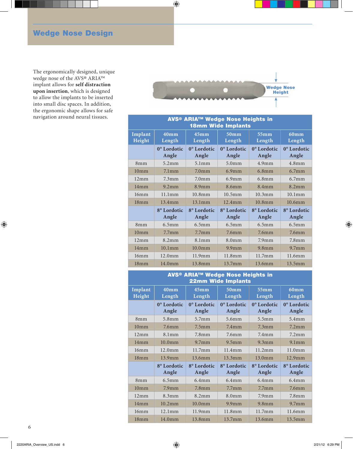# Wedge Nose Design

The ergonomically designed, unique wedge nose of the AVS® ARIA™ implant allows for **self distraction upon insertion**, which is designed to allow the implants to be inserted into small disc spaces. In addition, the ergonomic shape allows for safe navigation around neural tissues.



| <b>AVS<sup>®</sup> ARIA™ Wedge Nose Heights in</b><br><b>18mm Wide Implants</b> |                            |                            |                            |                            |                      |
|---------------------------------------------------------------------------------|----------------------------|----------------------------|----------------------------|----------------------------|----------------------|
| Implant<br>Height                                                               | 40 <sub>mm</sub><br>Length | 45 <sub>mm</sub><br>Length | 50 <sub>mm</sub><br>Length | 55 <sub>mm</sub><br>Length | 60mm<br>Length       |
|                                                                                 | 0° Lordotic<br>Angle       | 0° Lordotic<br>Angle       | 0° Lordotic<br>Angle       | 0° Lordotic<br>Angle       | 0° Lordotic<br>Angle |
| 8mm                                                                             | $5.2$ mm                   | 5.1mm                      | 5.0 <sub>mm</sub>          | $4.9$ mm                   | $4.8$ mm             |
| 10 <sub>mm</sub>                                                                | $7.1$ mm                   | 7.0 <sub>mm</sub>          | $6.9$ mm                   | 6.8mm                      | $6.7$ mm             |
| 12mm                                                                            | 7.3 <sub>mm</sub>          | 7.0 <sub>mm</sub>          | $6.9$ mm                   | 6.8mm                      | $6.7$ mm             |
| 14mm                                                                            | 9.2mm                      | 8.9 <sub>mm</sub>          | 8.6 <sub>mm</sub>          | 8.4 <sub>mm</sub>          | 8.2 <sub>mm</sub>    |
| 16mm                                                                            | 11.1mm                     | 10.8mm                     | $10.5$ mm                  | $10.3$ mm                  | $10.1$ mm            |
| 18mm                                                                            | 13.4mm                     | 13.1mm                     | $12.4$ mm                  | $10.8$ mm                  | $10.6$ mm            |
|                                                                                 | 8° Lordotic<br>Angle       | 8° Lordotic<br>Angle       | 8° Lordotic<br>Angle       | 8° Lordotic<br>Angle       | 8° Lordotic<br>Angle |
| 8mm                                                                             | 6.5 <sub>mm</sub>          | 6.5mm                      | 6.5mm                      | 6.5mm                      | 6.5mm                |
| 10 <sub>mm</sub>                                                                | 7.7 <sub>mm</sub>          | 7.7 <sub>mm</sub>          | 7.6 <sub>mm</sub>          | 7.6 <sub>mm</sub>          | 7.6 <sub>mm</sub>    |
| 12mm                                                                            | 8.2 <sub>mm</sub>          | 8.1mm                      | 8.0 <sub>mm</sub>          | 7.9 <sub>mm</sub>          | 7.8 <sub>mm</sub>    |
| 14mm                                                                            | $10.1$ mm                  | 10.0 <sub>mm</sub>         | $9.9$ mm                   | 9.8 <sub>mm</sub>          | 9.7 <sub>mm</sub>    |
| 16mm                                                                            | $12.0$ mm                  | 11.9mm                     | 11.8mm                     | 11.7mm                     | 11.6mm               |
| 18mm                                                                            | 14.0 <sub>mm</sub>         | 13.8mm                     | 13.7mm                     | 13.6mm                     | 13.5mm               |

| <b>AVS® ARIA™ Wedge Nose Heights in</b><br><b>22mm Wide Implants</b> |                            |                                  |                                  |                      |                                  |
|----------------------------------------------------------------------|----------------------------|----------------------------------|----------------------------------|----------------------|----------------------------------|
| Implant<br>Height                                                    | 40 <sub>mm</sub><br>Length | 45mm<br>Length                   | 50 <sub>mm</sub><br>Length       | 55mm<br>Length       | <b>60mm</b><br>Length            |
|                                                                      | 0° Lordotic<br>Angle       | 0° Lordotic<br>Angle             | 0° Lordotic<br>Angle             | 0° Lordotic<br>Angle | 0° Lordotic<br>Angle             |
| 8mm                                                                  | 5.8mm                      | 5.7 <sub>mm</sub>                | 5.6mm                            | 5.5mm                | 5.4mm                            |
| 10 <sub>mm</sub>                                                     | 7.6 <sub>m</sub>           | 7.5 <sub>mm</sub>                | 7.4 <sub>mm</sub>                | $7.3$ mm             | 7.2 <sub>mm</sub>                |
| 12mm                                                                 | 8.1 <sub>mm</sub>          | 7.8 <sub>m</sub>                 | 7.6 <sub>m</sub>                 | $7.4$ mm             | $7.2$ mm                         |
| 14mm                                                                 | 10.0 <sub>mm</sub>         | 9.7 <sub>mm</sub>                | 9.5mm                            | 9.3mm                | 9.1mm                            |
| 16mm                                                                 | $12.0$ mm                  | 11.7mm                           | 11.4mm                           | 11.2mm               | 11.0 <sub>mm</sub>               |
| 18 <sub>mm</sub>                                                     | $13.9$ mm                  | 13.6mm                           | 13.3mm                           | 13.0 <sub>mm</sub>   | $12.9$ mm                        |
|                                                                      | 8° Lordotic<br>Angle       | 8 <sup>°</sup> Lordotic<br>Angle | 8 <sup>°</sup> Lordotic<br>Angle | 8° Lordotic<br>Angle | 8 <sup>°</sup> Lordotic<br>Angle |
| 8mm                                                                  | 6.5mm                      | 6.4mm                            | $6.4$ mm                         | 6.4mm                | 6.4mm                            |
| $10m$ m                                                              | 7.9 <sub>mm</sub>          | 7.8 <sub>mm</sub>                | 7.7 <sub>mm</sub>                | 7.7 <sub>mm</sub>    | 7.6 <sub>m</sub>                 |
| 12mm                                                                 | 8.3mm                      | 8.2mm                            | 8.0 <sub>mm</sub>                | 7.9 <sub>mm</sub>    | 7.8 <sub>m</sub>                 |
| 14mm                                                                 | $10.2$ mm                  | 10.0 <sub>mm</sub>               | 9.9 <sub>mm</sub>                | $9.8$ mm             | 9.7 <sub>mm</sub>                |
| 16mm                                                                 | 12.1mm                     | 11.9mm                           | 11.8mm                           | 11.7mm               | 11.6mm                           |
| 18mm                                                                 | 14.0 <sub>mm</sub>         | 13.8mm                           | $13.7$ mm                        | 13.6mm               | 13.5mm                           |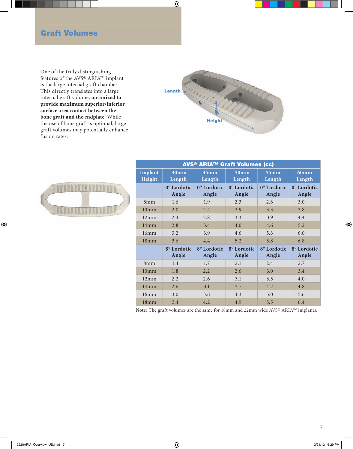#### Graft Volumes

One of the truly distinguishing features of the AVS® ARIA™ implant is the large internal graft chamber. This directly translates into a large internal graft volume, **optimized to provide maximum superior/inferior surface area contact between the bone graft and the endplate**. While the use of bone graft is optional, large graft volumes may potentially enhance fusion rates.





| <b>AVS<sup>®</sup> ARIA<sup>™</sup> Graft Volumes (cc)</b> |                            |                            |                            |                      |                      |
|------------------------------------------------------------|----------------------------|----------------------------|----------------------------|----------------------|----------------------|
| Implant<br>Height                                          | 40 <sub>mm</sub><br>Length | 45 <sub>mm</sub><br>Length | 50 <sub>mm</sub><br>Length | 55mm<br>Length       | 60mm<br>Length       |
|                                                            | 0° Lordotic<br>Angle       | 0° Lordotic<br>Angle       | 0° Lordotic<br>Angle       | 0° Lordotic<br>Angle | 0° Lordotic<br>Angle |
| 8mm                                                        | 1.6                        | 1.9                        | 2.3                        | 2.6                  | 3.0                  |
| 10 <sub>mm</sub>                                           | 2.0                        | 2.4                        | 2.9                        | 3.3                  | 3.8                  |
| 12mm                                                       | 2.4                        | 2.8                        | 3.3                        | 3.9                  | 4.4                  |
| 14mm                                                       | 2.8                        | 3.4                        | 4.0                        | 4.6                  | 5.2                  |
| 16mm                                                       | 3.2                        | 3.9                        | 4.6                        | 5.3                  | 6.0                  |
| 18 <sub>mm</sub>                                           | 3.6                        | 4.4                        | 5.2                        | 5.8                  | 6.8                  |
|                                                            | 8° Lordotic<br>Angle       | 8° Lordotic<br>Angle       | 8° Lordotic<br>Angle       | 8° Lordotic<br>Angle | 8° Lordotic<br>Angle |
| 8mm                                                        | 1.4                        | 1.7                        | 2.1                        | 2.4                  | 2.7                  |
| 10 <sub>mm</sub>                                           | 1.8                        | 2.2                        | 2.6                        | 3.0                  | 3.4                  |
| 12mm                                                       | 2.2                        | 2.6                        | 3.1                        | 3.5                  | 4.0                  |
| 14mm                                                       | 2.6                        | 3.1                        | 3.7                        | 4.2                  | 4.8                  |
| 16mm                                                       | 3.0                        | 3.6                        | 4.3                        | 5.0                  | 5.6                  |
| 18 <sub>mm</sub>                                           | 3.4                        | 4.2                        | 4.9                        | 5.5                  | 6.4                  |

**Note:** The graft volumes are the same for 18mm and 22mm wide AVS® ARIA™ implants.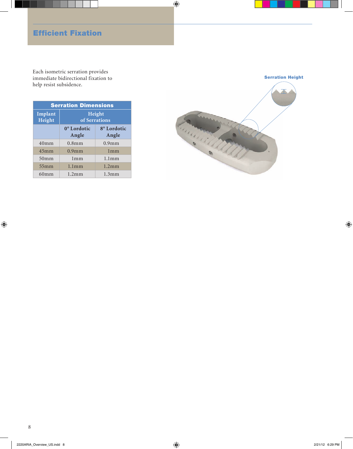## Efficient Fixation

Each isometric serration provides immediate bidirectional fixation to help resist subsidence.

| <b>Serration Dimensions</b> |                                  |                                  |  |
|-----------------------------|----------------------------------|----------------------------------|--|
| Implant<br>Height           | Height<br>of Serrations          |                                  |  |
|                             | 0 <sup>°</sup> Lordotic<br>Angle | 8 <sup>°</sup> Lordotic<br>Angle |  |
| $40m$ m                     | $0.8$ mm                         | $0.9$ mm                         |  |
| 45mm                        | $0.9$ mm                         | 1mm                              |  |
| 50 <sub>mm</sub>            | 1mm                              | 1.1 <sub>mm</sub>                |  |
| 55mm                        | 1.1 <sub>mm</sub>                | $1.2$ mm                         |  |
| 60 <sub>mm</sub>            | $1.2 \text{mm}$                  | 1.3 <sub>mm</sub>                |  |

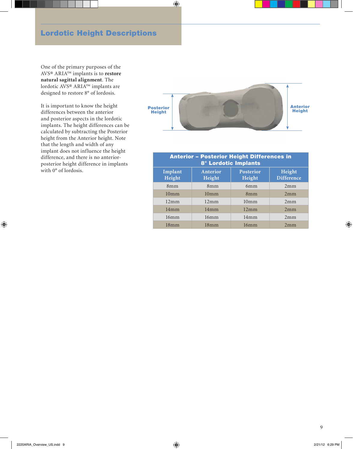## Lordotic Height Descriptions

One of the primary purposes of the AVS® ARIA™ implants is to **restore natural sagittal alignment**. The lordotic AVS® ARIA™ implants are designed to restore 8° of lordosis.

It is important to know the height differences between the anterior and posterior aspects in the lordotic implants. The height differences can be calculated by subtracting the Posterior height from the Anterior height. Note that the length and width of any implant does not influence the height difference, and there is no anteriorposterior height difference in implants with 0° of lordosis.



| <b>Anterior - Posterior Height Differences in</b><br><b>8° Lordotic Implants</b> |                    |                            |                             |  |
|----------------------------------------------------------------------------------|--------------------|----------------------------|-----------------------------|--|
| Implant<br>Height                                                                | Anterior<br>Height | <b>Posterior</b><br>Height | Height<br><b>Difference</b> |  |
| 8mm                                                                              | 8mm                | 6mm                        | 2mm                         |  |
| $10m$ m                                                                          | $10m$ m            | 8mm                        | 2mm                         |  |
| 12mm                                                                             | 12mm               | $10m$ m                    | 2mm                         |  |
| 14mm                                                                             | 14mm               | 12mm                       | 2mm                         |  |
| 16mm                                                                             | 16mm               | 14mm                       | 2mm                         |  |
| 18mm                                                                             | 18mm               | 16mm                       | 2mm                         |  |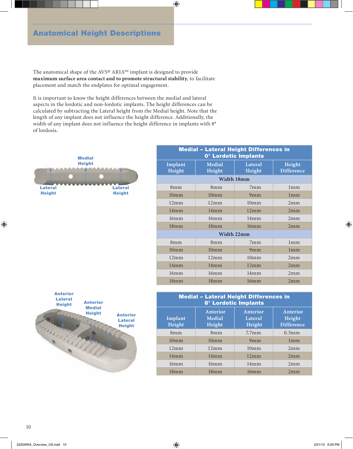## Anatomical Height Descriptions

The anatomical shape of the AVS® ARIA™ implant is designed to provide **maximum surface area contact and to promote structural stability**, to facilitate placement and match the endplates for optimal engagement.

It is important to know the height differences between the medial and lateral aspects in the lordotic and non-lordotic implants. The height differences can be calculated by subtracting the Lateral height from the Medial height. Note that the length of any implant does not influence the height difference. Additionally, the width of any implant does not influence the height difference in implants with 8° of lordosis.



| <b>Medial - Lateral Height Differences in</b><br>0° Lordotic Implants |                  |                   |                             |  |
|-----------------------------------------------------------------------|------------------|-------------------|-----------------------------|--|
| Implant<br>Height                                                     | Medial<br>Height | Lateral<br>Height | Height<br><b>Difference</b> |  |
|                                                                       | Width 18mm       |                   |                             |  |
| 8mm                                                                   | 8 <sub>mm</sub>  | $7m$ m            | 1mm                         |  |
| 10 <sub>mm</sub>                                                      | $10m$ m          | 9 <sub>mm</sub>   | 1mm                         |  |
| 12mm                                                                  | 12mm             | $10m$ m           | 2mm                         |  |
| 14mm                                                                  | 14mm             | 12mm              | 2mm                         |  |
| 16mm                                                                  | 16mm             | 14mm              | 2mm                         |  |
| 18mm                                                                  | 18mm             | 16mm              | 2mm                         |  |
|                                                                       | Width 22mm       |                   |                             |  |
| 8mm                                                                   | $8m$ m           | 7 <sub>mm</sub>   | 1mm                         |  |
| 10 <sub>mm</sub>                                                      | 10 <sub>mm</sub> | 9mm               | 1mm                         |  |
| 12mm                                                                  | 12mm             | 10 <sub>m</sub>   | 2mm                         |  |
| 14mm                                                                  | 14mm             | 12mm              | 2mm                         |  |
| 16mm                                                                  | 16mm             | 14mm              | 2mm                         |  |
| 18mm                                                                  | $18m$ m          | 16mm              | 2mm                         |  |



| <b>Medial - Lateral Height Differences in</b><br><b>8° Lordotic Implants</b> |                              |                               |                                         |  |
|------------------------------------------------------------------------------|------------------------------|-------------------------------|-----------------------------------------|--|
| Implant<br>Height                                                            | Anterior<br>Medial<br>Height | Anterior<br>Lateral<br>Height | Anterior<br>Height<br><b>Difference</b> |  |
| 8mm                                                                          | 8mm                          | 7.7 <sub>mm</sub>             | $0.3$ mm                                |  |
| 10 <sub>m</sub>                                                              | $10m$ m                      | 9mm                           | 1mm                                     |  |
| 12mm                                                                         | 12mm                         | $10m$ m                       | 2mm                                     |  |
| 14mm                                                                         | 14mm                         | 12mm                          | 2mm                                     |  |
| 16mm                                                                         | 16mm                         | 14mm                          | 2mm                                     |  |
| 18 <sub>m</sub>                                                              | 18mm                         | 16mm                          | 2mm                                     |  |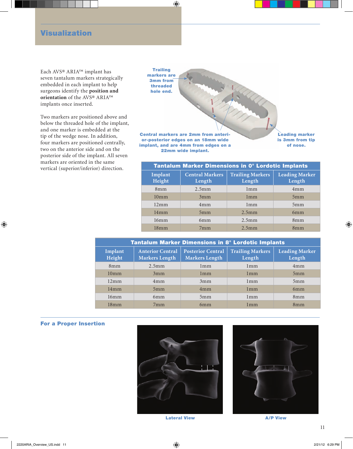#### Visualization

Each AVS® ARIA™ implant has seven tantalum markers strategically embedded in each implant to help surgeons identify the **position and orientation** of the AVS® ARIA™ implants once inserted.

Two markers are positioned above and below the threaded hole of the implant, and one marker is embedded at the tip of the wedge nose. In addition, four markers are positioned centrally, two on the anterior side and on the posterior side of the implant. All seven markers are oriented in the same



markers are oriented in the same<br>vertical (superior/inferior) direction. Tantalum Marker Dimensions in 0° Lordotic Implants **Implant Height Central Markers Length Trailing Markers Length Leading Marker Length** 8mm 2.5mm 1mm 4mm 10mm 3mm 1mm 5mm 12mm | 4mm | 1mm | 5mm 14mm 5mm 2.5mm 6mm 16mm 6mm 2.5mm 8mm 18mm 7mm 2.5mm 8mm

| <b>Tantalum Marker Dimensions in 8° Lordotic Implants</b> |                                                  |                                                   |                                   |                                 |  |
|-----------------------------------------------------------|--------------------------------------------------|---------------------------------------------------|-----------------------------------|---------------------------------|--|
| Implant<br>Height                                         | <b>Anterior Central</b><br><b>Markers Length</b> | <b>Posterior Central</b><br><b>Markers Length</b> | <b>Trailing Markers</b><br>Length | <b>Leading Marker</b><br>Length |  |
| 8mm                                                       | $2.5$ mm                                         | 1mm                                               | 1mm                               | 4mm                             |  |
| 10 <sub>mm</sub>                                          | 3mm                                              | 1mm                                               | 1mm                               | 5mm                             |  |
| 12mm                                                      | 4mm                                              | 3mm                                               | 1mm                               | 5mm                             |  |
| 14mm                                                      | 5mm                                              | 4mm                                               | 1mm                               | 6mm                             |  |
| 16mm                                                      | 6mm                                              | 5mm                                               | 1mm                               | 8mm                             |  |
| 18mm                                                      | 7mm                                              | 6mm                                               | 1mm                               | 8mm                             |  |

#### For a Proper Insertion





Lateral View **A/P View**